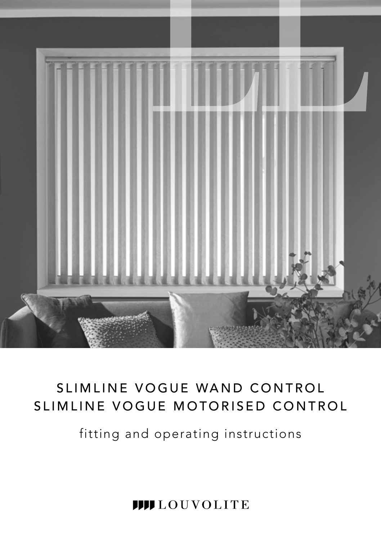

# SLIMLINE VOGUE WAND CONTROL SLIMLINE VOGUE MOTORISED CONTROL

fitting and operating instructions

**IIII** LOUVOLITE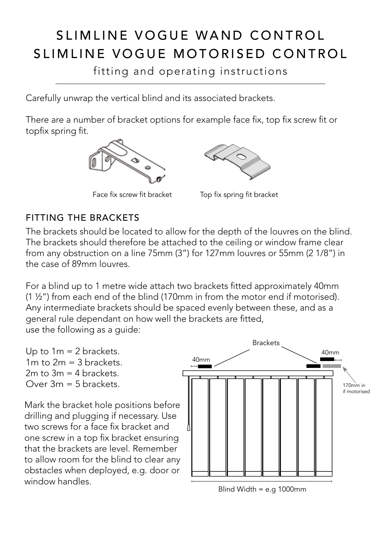## SLIMLINE VOGUE WAND CONTROL SLIMLINE VOGUE MOTORISED CONTROL

fitting and operating instructions

Carefully unwrap the vertical blind and its associated brackets.

There are a number of bracket options for example face fix, top fix screw fit or topfix spring fit.



Face fix screw fit bracket Top fix spring fit bracket



## FITTING THE BRACKETS

The brackets should be located to allow for the depth of the louvres on the blind. The brackets should therefore be attached to the ceiling or window frame clear from any obstruction on a line 75mm (3") for 127mm louvres or 55mm (2 1/8") in the case of 89mm louvres.

For a blind up to 1 metre wide attach two brackets fitted approximately 40mm (1 ½") from each end of the blind (170mm in from the motor end if motorised). Any intermediate brackets should be spaced evenly between these, and as a general rule dependant on how well the brackets are fitted, use the following as a guide:

Up to  $1m = 2$  brackets.  $1m$  to  $2m = 3$  brackets.  $2m$  to  $3m = 4$  brackets.  $Over 3m = 5$  brackets.

Mark the bracket hole positions before drilling and plugging if necessary. Use two screws for a face fix bracket and one screw in a top fix bracket ensuring that the brackets are level. Remember to allow room for the blind to clear any obstacles when deployed, e.g. door or window handles.



Blind Width = e.g 1000mm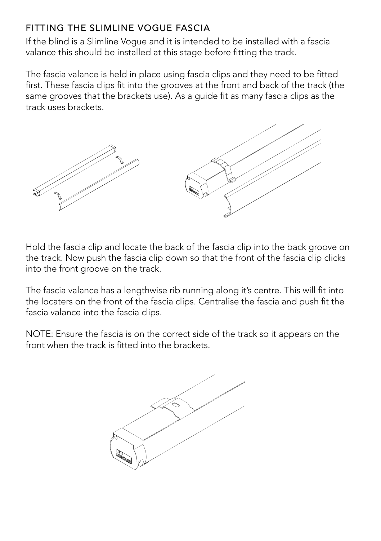## FITTING THE SLIMLINE VOGUE FASCIA

If the blind is a Slimline Vogue and it is intended to be installed with a fascia valance this should be installed at this stage before fitting the track.

The fascia valance is held in place using fascia clips and they need to be fitted first. These fascia clips fit into the grooves at the front and back of the track (the same grooves that the brackets use). As a quide fit as many fascia clips as the track uses brackets.



Hold the fascia clip and locate the back of the fascia clip into the back groove on the track. Now push the fascia clip down so that the front of the fascia clip clicks into the front groove on the track.

The fascia valance has a lengthwise rib running along it's centre. This will fit into the locaters on the front of the fascia clips. Centralise the fascia and push fit the fascia valance into the fascia clips.

NOTE: Ensure the fascia is on the correct side of the track so it appears on the front when the track is fitted into the brackets.

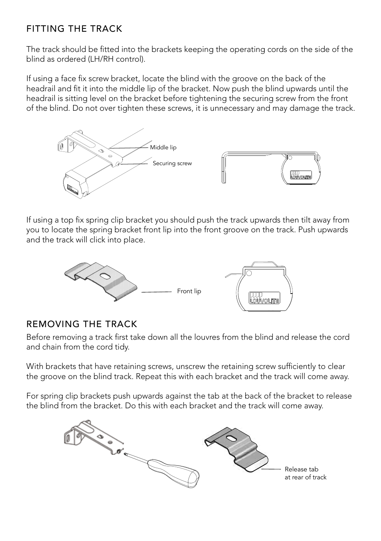## FITTING THE TRACK

The track should be fitted into the brackets keeping the operating cords on the side of the blind as ordered (LH/RH control).

If using a face fix screw bracket, locate the blind with the groove on the back of the headrail and fit it into the middle lip of the bracket. Now push the blind upwards until the headrail is sitting level on the bracket before tightening the securing screw from the front of the blind. Do not over tighten these screws, it is unnecessary and may damage the track.



If using a top fix spring clip bracket you should push the track upwards then tilt away from you to locate the spring bracket front lip into the front groove on the track. Push upwards and the track will click into place.



#### REMOVING THE TRACK

Before removing a track first take down all the louvres from the blind and release the cord and chain from the cord tidy.

With brackets that have retaining screws, unscrew the retaining screw sufficiently to clear the groove on the blind track. Repeat this with each bracket and the track will come away.

For spring clip brackets push upwards against the tab at the back of the bracket to release the blind from the bracket. Do this with each bracket and the track will come away.

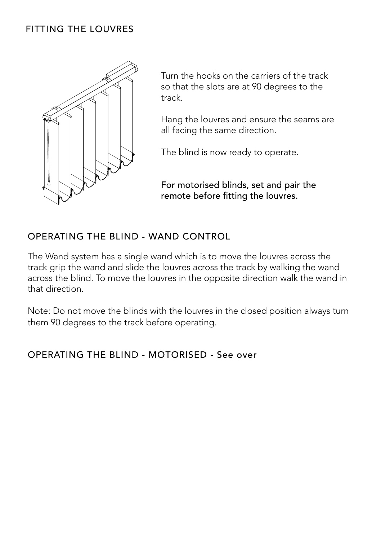#### FITTING THE LOUVRES



Turn the hooks on the carriers of the track so that the slots are at 90 degrees to the track.

Hang the louvres and ensure the seams are all facing the same direction.

The blind is now ready to operate.

For motorised blinds, set and pair the remote before fitting the louvres.

#### OPERATING THE BLIND - WAND CONTROL

The Wand system has a single wand which is to move the louvres across the track grip the wand and slide the louvres across the track by walking the wand across the blind. To move the louvres in the opposite direction walk the wand in that direction.

Note: Do not move the blinds with the louvres in the closed position always turn them 90 degrees to the track before operating.

#### OPERATING THE BLIND - MOTORISED - See over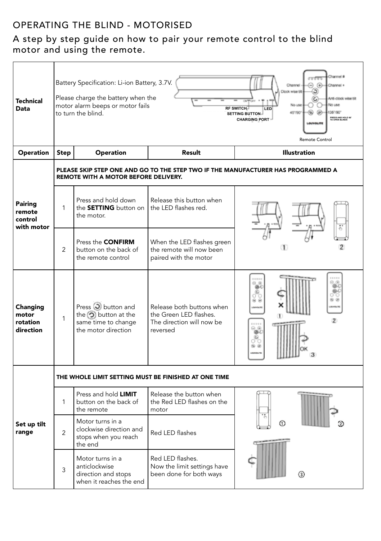## OPERATING THE BLIND - MOTORISED

#### A step by step guide on how to pair your remote control to the blind motor and using the remote.

| Technical<br>Data                          | Channel #<br>Battery Specification: Li-ion Battery, 3.7V.<br>⊝⊛<br>Channel -<br>Channel 4<br>۵<br><b>Clock wise tilt</b><br>Please charge the battery when the<br>C<br>Anti-cinck wine til<br>No use<br>motor alarm beeps or motor fails<br>Nin una<br><b>RF SWITCH</b><br>LED<br>45'790'<br>⊛<br>⊛<br>1561001<br>to turn the blind.<br>SETTING BUTTON<br><b>PRESS AND HOLD 90</b><br>TO OPEN BLINDS<br><b>CHARGING PORT</b><br>Remote Control |                                                                                                            |                                                                                              |                        |  |  |
|--------------------------------------------|------------------------------------------------------------------------------------------------------------------------------------------------------------------------------------------------------------------------------------------------------------------------------------------------------------------------------------------------------------------------------------------------------------------------------------------------|------------------------------------------------------------------------------------------------------------|----------------------------------------------------------------------------------------------|------------------------|--|--|
| Operation                                  | Step                                                                                                                                                                                                                                                                                                                                                                                                                                           | Operation                                                                                                  | Result                                                                                       | <b>Illustration</b>    |  |  |
| Pairing<br>remote<br>control<br>with motor | PLEASE SKIP STEP ONE AND GO TO THE STEP TWO IF THE MANUFACTURER HAS PROGRAMMED A<br>REMOTE WITH A MOTOR BEFORE DELIVERY.                                                                                                                                                                                                                                                                                                                       |                                                                                                            |                                                                                              |                        |  |  |
|                                            | 1                                                                                                                                                                                                                                                                                                                                                                                                                                              | Press and hold down<br>the <b>SETTING</b> button on<br>the motor.                                          | Release this button when<br>the LED flashes red.                                             |                        |  |  |
|                                            | $\overline{a}$                                                                                                                                                                                                                                                                                                                                                                                                                                 | Press the <b>CONFIRM</b><br>button on the back of<br>the remote control                                    | When the LED flashes green<br>the remote will now been<br>paired with the motor              |                        |  |  |
| Changing<br>motor<br>rotation<br>direction | 1                                                                                                                                                                                                                                                                                                                                                                                                                                              | Press $\overline{O}$ button and<br>the $\odot$ button at the<br>same time to change<br>the motor direction | Release both buttons when<br>the Green LED flashes.<br>The direction will now be<br>reversed | வ<br>2<br>್ಮಿ<br>NO 19 |  |  |
|                                            | THE WHOLE LIMIT SETTING MUST BE FINISHED AT ONE TIME                                                                                                                                                                                                                                                                                                                                                                                           |                                                                                                            |                                                                                              |                        |  |  |
| Set up tilt<br>range                       | 1                                                                                                                                                                                                                                                                                                                                                                                                                                              | Press and hold <b>LIMIT</b><br>button on the back of<br>the remote                                         | Release the button when<br>the Red LED flashes on the<br>motor                               |                        |  |  |
|                                            | $\overline{2}$                                                                                                                                                                                                                                                                                                                                                                                                                                 | Motor turns in a<br>clockwise direction and<br>stops when you reach<br>the end                             | Red LED flashes                                                                              | ന                      |  |  |
|                                            | 3                                                                                                                                                                                                                                                                                                                                                                                                                                              | Motor turns in a<br>anticlockwise<br>direction and stops<br>when it reaches the end                        | Red LED flashes.<br>Now the limit settings have<br>been done for both ways                   | $\left( 3\right)$      |  |  |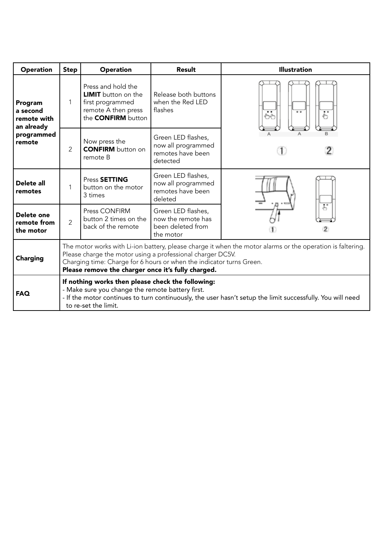| Operation                                                                | Step                                                                                                                                                                                                                                                                                                   | <b>Operation</b>                                                                                                         | Result                                                                     | <b>Illustration</b>                                                   |  |  |
|--------------------------------------------------------------------------|--------------------------------------------------------------------------------------------------------------------------------------------------------------------------------------------------------------------------------------------------------------------------------------------------------|--------------------------------------------------------------------------------------------------------------------------|----------------------------------------------------------------------------|-----------------------------------------------------------------------|--|--|
| Program<br>a second<br>remote with<br>an already<br>programmed<br>remote | 1                                                                                                                                                                                                                                                                                                      | Press and hold the<br><b>LIMIT</b> button on the<br>first programmed<br>remote A then press<br>the <b>CONFIRM</b> button | Release both buttons<br>when the Red LED<br>flashes                        | $\overline{\bullet}$<br>$\overline{\mathbb{C}}$<br>$\bullet$<br>رماني |  |  |
|                                                                          | $\overline{2}$                                                                                                                                                                                                                                                                                         | Now press the<br><b>CONFIRM</b> button on<br>remote B                                                                    | Green LED flashes,<br>now all programmed<br>remotes have been<br>detected  |                                                                       |  |  |
| Delete all<br>remotes                                                    | 1                                                                                                                                                                                                                                                                                                      | Press SETTING<br>button on the motor<br>3 times                                                                          | Green LED flashes,<br>now all programmed<br>remotes have been<br>deleted   |                                                                       |  |  |
| Delete one<br>remote from<br>the motor                                   | $\overline{2}$                                                                                                                                                                                                                                                                                         | Press CONFIRM<br>button 2 times on the<br>back of the remote                                                             | Green LED flashes,<br>now the remote has<br>been deleted from<br>the motor | $\overline{\mathcal{E}}$                                              |  |  |
| Charging                                                                 | The motor works with Li-ion battery, please charge it when the motor alarms or the operation is faltering.<br>Please charge the motor using a professional charger DC5V.<br>Charging time: Charge for 6 hours or when the indicator turns Green.<br>Please remove the charger once it's fully charged. |                                                                                                                          |                                                                            |                                                                       |  |  |
| <b>FAQ</b>                                                               | If nothing works then please check the following:<br>- Make sure you change the remote battery first.<br>- If the motor continues to turn continuously, the user hasn't setup the limit successfully. You will need<br>to re-set the limit.                                                            |                                                                                                                          |                                                                            |                                                                       |  |  |